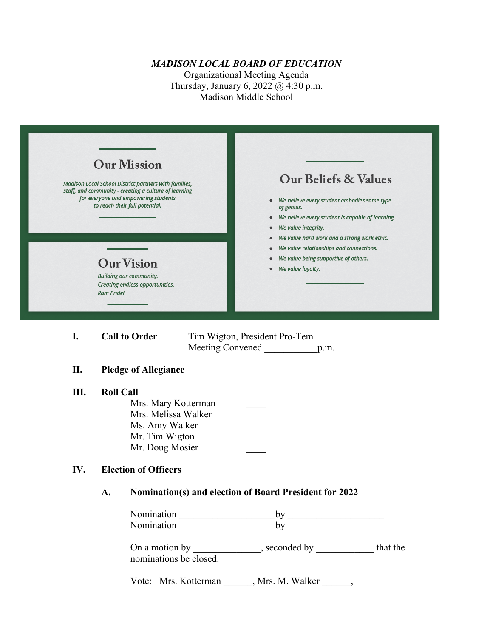### *MADISON LOCAL BOARD OF EDUCATION*

Organizational Meeting Agenda Thursday, January 6, 2022 @ 4:30 p.m. Madison Middle School

| <b>Our Mission</b><br><b>Madison Local School District partners with families,</b><br>staff, and community - creating a culture of learning<br>for everyone and empowering students<br>to reach their full potential.<br><b>Our Vision</b><br><b>Building our community.</b><br>Creating endless opportunities.<br><b>Ram Pride!</b> | <b>Our Beliefs &amp; Values</b><br>We believe every student embodies some type<br>$\bullet$<br>of genius.<br>We believe every student is capable of learning.<br>۰<br>We value integrity.<br>We value hard work and a strong work ethic.<br>۰<br>We value relationships and connections.<br>We value being supportive of others.<br>We value loyalty. |
|--------------------------------------------------------------------------------------------------------------------------------------------------------------------------------------------------------------------------------------------------------------------------------------------------------------------------------------|-------------------------------------------------------------------------------------------------------------------------------------------------------------------------------------------------------------------------------------------------------------------------------------------------------------------------------------------------------|
| <b>Call to Order</b><br>I.                                                                                                                                                                                                                                                                                                           | Tim Wigton, President Pro-Tem<br>Meeting Convened<br>p.m.                                                                                                                                                                                                                                                                                             |
| П.<br><b>Pledge of Allegiance</b>                                                                                                                                                                                                                                                                                                    |                                                                                                                                                                                                                                                                                                                                                       |

## **III. Roll Call**

| Mrs. Mary Kotterman |  |
|---------------------|--|
| Mrs. Melissa Walker |  |
| Ms. Amy Walker      |  |
| Mr. Tim Wigton      |  |
| Mr. Doug Mosier     |  |
|                     |  |

### **IV. Election of Officers**

### **A. Nomination(s) and election of Board President for 2022**

Nomination \_\_\_\_\_\_\_\_\_\_\_\_\_\_\_\_\_\_\_\_by \_\_\_\_\_\_\_\_\_\_\_\_\_\_\_\_\_\_\_\_ Nomination by

On a motion by \_\_\_\_\_\_\_\_\_\_\_\_, seconded by \_\_\_\_\_\_\_\_\_\_\_\_\_ that the nominations be closed.

Vote: Mrs. Kotterman \_\_\_\_\_\_, Mrs. M. Walker \_\_\_\_\_\_,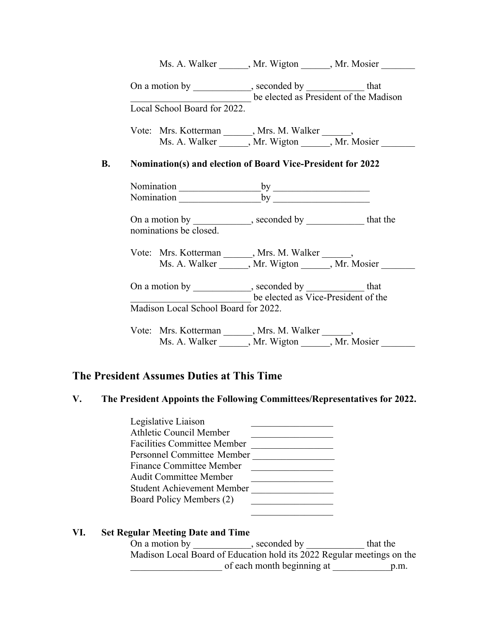|                              |                                      |                                                                                                                                                                                                                                | Ms. A. Walker ______, Mr. Wigton _____, Mr. Mosier ______                                                          |
|------------------------------|--------------------------------------|--------------------------------------------------------------------------------------------------------------------------------------------------------------------------------------------------------------------------------|--------------------------------------------------------------------------------------------------------------------|
|                              |                                      | On a motion by _____________, seconded by _____________ that                                                                                                                                                                   | be elected as President of the Madison                                                                             |
| Local School Board for 2022. |                                      |                                                                                                                                                                                                                                |                                                                                                                    |
|                              |                                      |                                                                                                                                                                                                                                | Vote: Mrs. Kotterman ______, Mrs. M. Walker ______,<br>Ms. A. Walker ______, Mr. Wigton ______, Mr. Mosier _______ |
|                              |                                      | <b>Nomination(s) and election of Board Vice-President for 2022</b>                                                                                                                                                             |                                                                                                                    |
|                              |                                      |                                                                                                                                                                                                                                |                                                                                                                    |
|                              |                                      | Nomination by by Nomination by Nomination by Nomination by Nomination by Nomination by Nomination by Nomination by Nomination by Nomination by Nomination by Nomination by Nomination by Nomination by Nomination by Nominatio |                                                                                                                    |
|                              | nominations be closed.               | On a motion by ____________, seconded by ____________ that the                                                                                                                                                                 |                                                                                                                    |
|                              |                                      | Vote: Mrs. Kotterman ______, Mrs. M. Walker ______,                                                                                                                                                                            |                                                                                                                    |
|                              |                                      |                                                                                                                                                                                                                                | Ms. A. Walker _______, Mr. Wigton ______, Mr. Mosier                                                               |
|                              |                                      | On a motion by _____________, seconded by ______________ that<br>be elected as Vice-President of the                                                                                                                           |                                                                                                                    |
|                              | Madison Local School Board for 2022. |                                                                                                                                                                                                                                |                                                                                                                    |
|                              |                                      | Vote: Mrs. Kotterman ______, Mrs. M. Walker ______,<br>Ms. A. Walker ______, Mr. Wigton ______, Mr. Mosier                                                                                                                     |                                                                                                                    |
|                              |                                      |                                                                                                                                                                                                                                |                                                                                                                    |

# **The President Assumes Duties at This Time**

## **V. The President Appoints the Following Committees/Representatives for 2022.**

| Legislative Liaison                |
|------------------------------------|
| <b>Athletic Council Member</b>     |
| <b>Facilities Committee Member</b> |
| <b>Personnel Committee Member</b>  |
| <b>Finance Committee Member</b>    |
| <b>Audit Committee Member</b>      |
| <b>Student Achievement Member</b>  |
| Board Policy Members (2)           |
|                                    |

| VI. | <b>Set Regular Meeting Date and Time</b> |                                                                        |          |  |
|-----|------------------------------------------|------------------------------------------------------------------------|----------|--|
|     | On a motion by                           | , seconded by                                                          | that the |  |
|     |                                          | Madison Local Board of Education hold its 2022 Regular meetings on the |          |  |
|     |                                          | of each month beginning at                                             | p.m.     |  |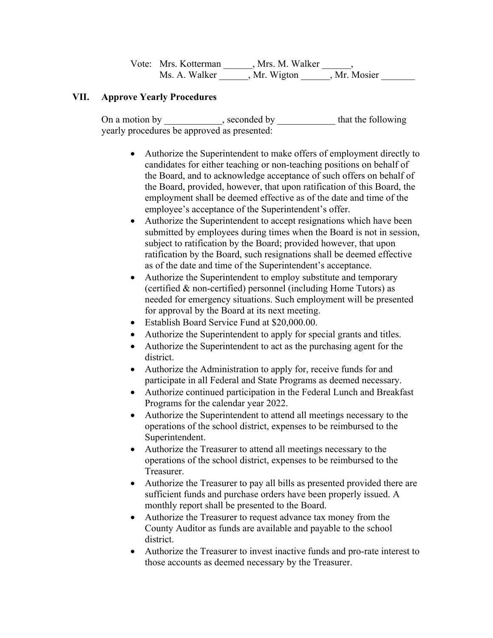| Vote: Mrs. Kotterman | Mrs. M. Walker |            |  |  |
|----------------------|----------------|------------|--|--|
| Ms. A. Walker        | Mr. Wigton     | Mr. Mosier |  |  |

## **VII. Approve Yearly Procedures**

On a motion by \_\_\_\_\_\_\_\_\_, seconded by \_\_\_\_\_\_\_\_\_\_\_\_ that the following yearly procedures be approved as presented:

- Authorize the Superintendent to make offers of employment directly to candidates for either teaching or non-teaching positions on behalf of the Board, and to acknowledge acceptance of such offers on behalf of the Board, provided, however, that upon ratification of this Board, the employment shall be deemed effective as of the date and time of the employee's acceptance of the Superintendent's offer.
- Authorize the Superintendent to accept resignations which have been submitted by employees during times when the Board is not in session, subject to ratification by the Board; provided however, that upon ratification by the Board, such resignations shall be deemed effective as of the date and time of the Superintendent's acceptance.
- Authorize the Superintendent to employ substitute and temporary (certified & non-certified) personnel (including Home Tutors) as needed for emergency situations. Such employment will be presented for approval by the Board at its next meeting.
- Establish Board Service Fund at \$20,000.00.
- Authorize the Superintendent to apply for special grants and titles.
- Authorize the Superintendent to act as the purchasing agent for the district.
- Authorize the Administration to apply for, receive funds for and participate in all Federal and State Programs as deemed necessary.
- Authorize continued participation in the Federal Lunch and Breakfast Programs for the calendar year 2022.
- Authorize the Superintendent to attend all meetings necessary to the operations of the school district, expenses to be reimbursed to the Superintendent.
- Authorize the Treasurer to attend all meetings necessary to the operations of the school district, expenses to be reimbursed to the Treasurer.
- Authorize the Treasurer to pay all bills as presented provided there are sufficient funds and purchase orders have been properly issued. A monthly report shall be presented to the Board.
- Authorize the Treasurer to request advance tax money from the County Auditor as funds are available and payable to the school district.
- Authorize the Treasurer to invest inactive funds and pro-rate interest to those accounts as deemed necessary by the Treasurer.